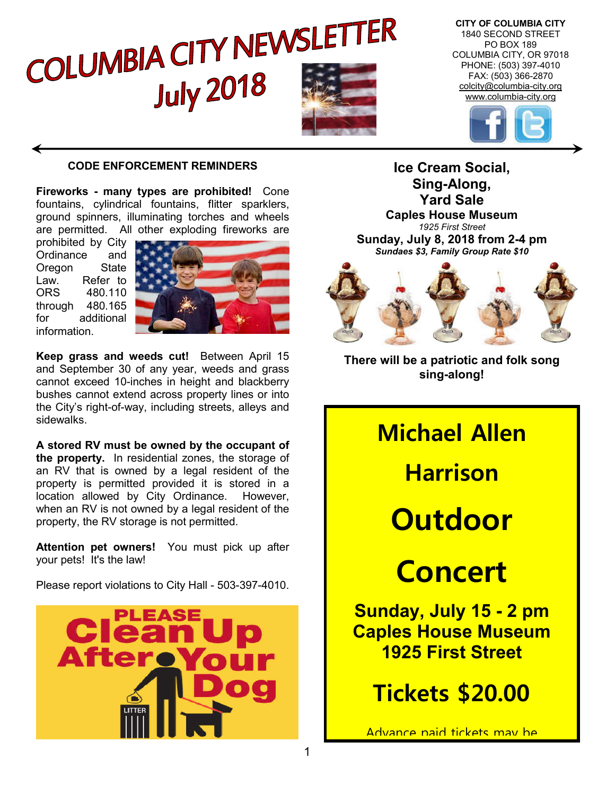

**CITY OF COLUMBIA CITY** 1840 SECOND STREET PO BOX 189 COLUMBIA CITY, OR 97018 PHONE: (503) 397-4010 FAX: (503) 366-2870 colcity@columbia-city.org www.columbia-city.org



#### **CODE ENFORCEMENT REMINDERS**

**Fireworks - many types are prohibited!** Cone fountains, cylindrical fountains, flitter sparklers. ground spinners, illuminating torches and wheels are permitted. All other exploding fireworks are

prohibited by City Ordinance and Oregon State Law. Refer to ORS 480.110 through 480.165 for additional information.



**Keep grass and weeds cut!** Between April 15 and September 30 of any year, weeds and grass cannot exceed 10-inches in height and blackberry bushes cannot extend across property lines or into the City's right-of-way, including streets, alleys and sidewalks.

**A stored RV must be owned by the occupant of the property.** In residential zones, the storage of an RV that is owned by a legal resident of the property is permitted provided it is stored in a location allowed by City Ordinance. However, when an RV is not owned by a legal resident of the property, the RV storage is not permitted.

**Attention pet owners!** You must pick up after your pets! It's the law!

Please report violations to City Hall - 503-397-4010.



**Ice Cream Social, Sing-Along, Yard Sale Caples House Museum** *1925 First Street* **Sunday, July 8, 2018 from 2-4 pm** *Sundaes \$3, Family Group Rate \$10*



**There will be a patriotic and folk song sing-along!**

**Michael Allen Harrison Outdoor Concert Sunday, July 15 - 2 pm Caples House Museum 1925 First Street Tickets \$20.00**

Advance naid tickets may he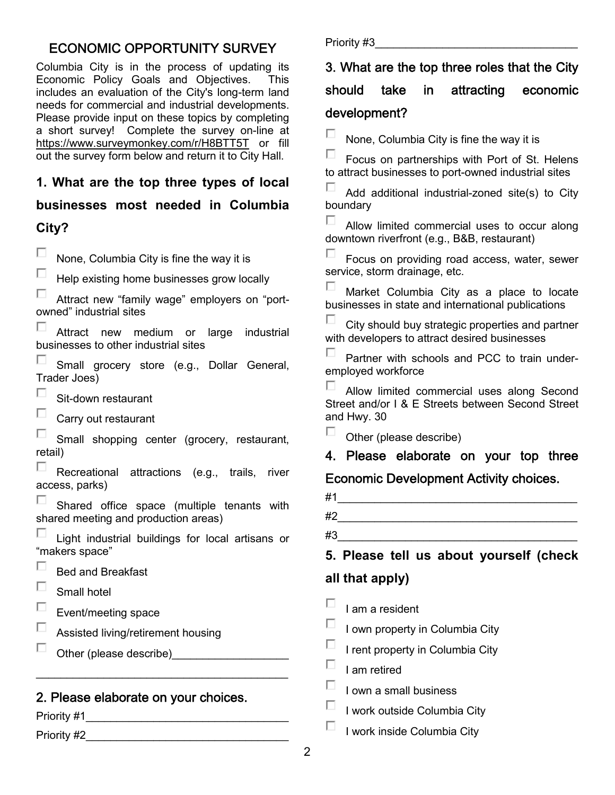## ECONOMIC OPPORTUNITY SURVEY

Columbia City is in the process of updating its Economic Policy Goals and Objectives. This includes an evaluation of the City's long-term land needs for commercial and industrial developments. Please provide input on these topics by completing a short survey! Complete the survey on-line at https://www.surveymonkey.com/r/H8BTT5T or fill out the survey form below and return it to City Hall.

## **1. What are the top three types of local**

## **businesses most needed in Columbia**

## **City?**

П. None, Columbia City is fine the way it is

П Help existing home businesses grow locally

П Attract new "family wage" employers on "portowned" industrial sites

П Attract new medium or large industrial businesses to other industrial sites

П Small grocery store (e.g., Dollar General, Trader Joes)

П. Sit-down restaurant

П Carry out restaurant

П Small shopping center (grocery, restaurant, retail)

П Recreational attractions (e.g., trails, river access, parks)

Shared office space (multiple tenants with shared meeting and production areas)

Light industrial buildings for local artisans or "makers space"

П Bed and Breakfast

П Small hotel

Event/meeting space

Assisted living/retirement housing

П. Other (please describe)

### 2. Please elaborate on your choices.

\_\_\_\_\_\_\_\_\_\_\_\_\_\_\_\_\_\_\_\_\_\_\_\_\_\_\_\_\_\_\_\_\_\_\_\_\_\_\_\_\_

Priority #1\_\_\_\_\_\_\_\_\_\_\_\_\_\_\_\_\_\_\_\_\_\_\_\_\_\_\_\_\_\_\_\_\_

Priority #2

Priority #3

# 3. What are the top three roles that the City

## should take in attracting economic development?

П. None, Columbia City is fine the way it is

П. Focus on partnerships with Port of St. Helens to attract businesses to port-owned industrial sites

п Add additional industrial-zoned site(s) to City boundary

П. Allow limited commercial uses to occur along downtown riverfront (e.g., B&B, restaurant)

П Focus on providing road access, water, sewer service, storm drainage, etc.

П. Market Columbia City as a place to locate businesses in state and international publications

п City should buy strategic properties and partner with developers to attract desired businesses

Partner with schools and PCC to train underemployed workforce

П. Allow limited commercial uses along Second Street and/or I & E Streets between Second Street and Hwy. 30

П. Other (please describe)

4. Please elaborate on your top three

## Economic Development Activity choices.

| #1 |  |  |  |
|----|--|--|--|
| #2 |  |  |  |

 $\#3$ 

**5. Please tell us about yourself (check all that apply)** 

п I am a resident

П I own property in Columbia City

п I rent property in Columbia City

П I am retired

П I own a small business

П I work outside Columbia City

П I work inside Columbia City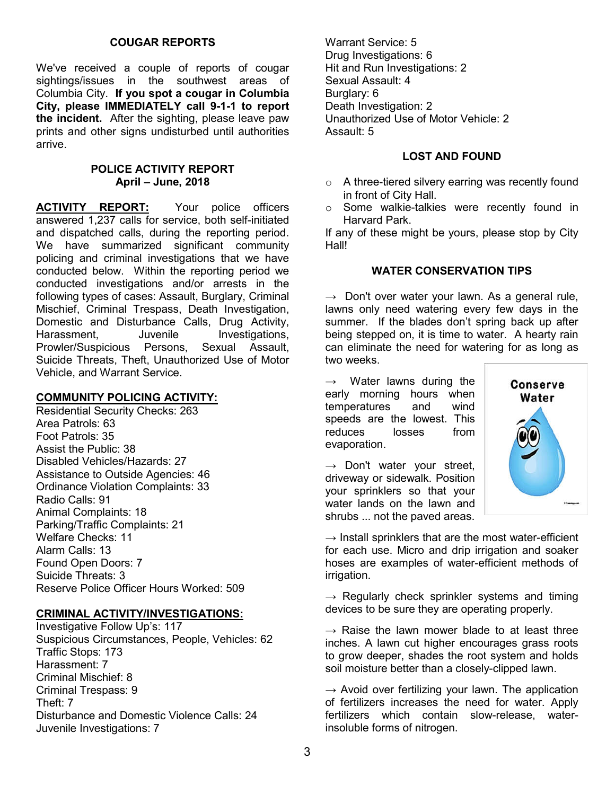#### **COUGAR REPORTS**

We've received a couple of reports of cougar sightings/issues in the southwest areas of Columbia City. **If you spot a cougar in Columbia City, please IMMEDIATELY call 9-1-1 to report the incident.** After the sighting, please leave paw prints and other signs undisturbed until authorities arrive.

#### **POLICE ACTIVITY REPORT April – June, 2018**

**ACTIVITY REPORT:** Your police officers answered 1,237 calls for service, both self-initiated and dispatched calls, during the reporting period. We have summarized significant community policing and criminal investigations that we have conducted below. Within the reporting period we conducted investigations and/or arrests in the following types of cases: Assault, Burglary, Criminal Mischief, Criminal Trespass, Death Investigation, Domestic and Disturbance Calls, Drug Activity, Harassment, Juvenile Investigations, Prowler/Suspicious Persons, Sexual Assault, Suicide Threats, Theft, Unauthorized Use of Motor Vehicle, and Warrant Service.

#### **COMMUNITY POLICING ACTIVITY:**

Residential Security Checks: 263 Area Patrols: 63 Foot Patrols: 35 Assist the Public: 38 Disabled Vehicles/Hazards: 27 Assistance to Outside Agencies: 46 Ordinance Violation Complaints: 33 Radio Calls: 91 Animal Complaints: 18 Parking/Traffic Complaints: 21 Welfare Checks: 11 Alarm Calls: 13 Found Open Doors: 7 Suicide Threats: 3 Reserve Police Officer Hours Worked: 509

#### **CRIMINAL ACTIVITY/INVESTIGATIONS:**

Investigative Follow Up's: 117 Suspicious Circumstances, People, Vehicles: 62 Traffic Stops: 173 Harassment: 7 Criminal Mischief: 8 Criminal Trespass: 9 Theft: 7 Disturbance and Domestic Violence Calls: 24 Juvenile Investigations: 7

Warrant Service: 5 Drug Investigations: 6 Hit and Run Investigations: 2 Sexual Assault: 4 Burglary: 6 Death Investigation: 2 Unauthorized Use of Motor Vehicle: 2 Assault: 5

#### **LOST AND FOUND**

- o A three-tiered silvery earring was recently found in front of City Hall.
- o Some walkie-talkies were recently found in Harvard Park.

If any of these might be yours, please stop by City Hall!

#### **WATER CONSERVATION TIPS**

 $\rightarrow$  Don't over water your lawn. As a general rule, lawns only need watering every few days in the summer. If the blades don't spring back up after being stepped on, it is time to water. A hearty rain can eliminate the need for watering for as long as two weeks.

 $\rightarrow$  Water lawns during the early morning hours when temperatures and wind speeds are the lowest. This reduces losses from evaporation.

 $\rightarrow$  Don't water your street, driveway or sidewalk. Position your sprinklers so that your water lands on the lawn and shrubs ... not the paved areas.



 $\rightarrow$  Install sprinklers that are the most water-efficient for each use. Micro and drip irrigation and soaker hoses are examples of water-efficient methods of irrigation.

 $\rightarrow$  Regularly check sprinkler systems and timing devices to be sure they are operating properly.

 $\rightarrow$  Raise the lawn mower blade to at least three inches. A lawn cut higher encourages grass roots to grow deeper, shades the root system and holds soil moisture better than a closely-clipped lawn.

 $\rightarrow$  Avoid over fertilizing your lawn. The application of fertilizers increases the need for water. Apply fertilizers which contain slow-release, waterinsoluble forms of nitrogen.